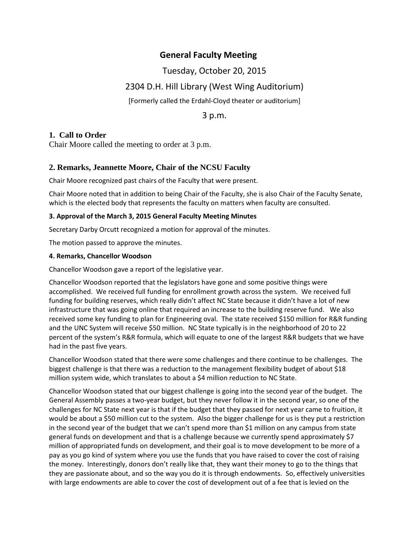# **General Faculty Meeting**

# Tuesday, October 20, 2015

# 2304 D.H. Hill Library (West Wing Auditorium)

[Formerly called the Erdahl-Cloyd theater or auditorium]

3 p.m.

# **1. Call to Order**

Chair Moore called the meeting to order at 3 p.m.

# **2. Remarks, Jeannette Moore, Chair of the NCSU Faculty**

Chair Moore recognized past chairs of the Faculty that were present.

Chair Moore noted that in addition to being Chair of the Faculty, she is also Chair of the Faculty Senate, which is the elected body that represents the faculty on matters when faculty are consulted.

## **3. Approval of the March 3, 2015 General Faculty Meeting Minutes**

Secretary Darby Orcutt recognized a motion for approval of the minutes.

The motion passed to approve the minutes.

## **4. Remarks, Chancellor Woodson**

Chancellor Woodson gave a report of the legislative year.

Chancellor Woodson reported that the legislators have gone and some positive things were accomplished. We received full funding for enrollment growth across the system. We received full funding for building reserves, which really didn't affect NC State because it didn't have a lot of new infrastructure that was going online that required an increase to the building reserve fund. We also received some key funding to plan for Engineering oval. The state received \$150 million for R&R funding and the UNC System will receive \$50 million. NC State typically is in the neighborhood of 20 to 22 percent of the system's R&R formula, which will equate to one of the largest R&R budgets that we have had in the past five years.

Chancellor Woodson stated that there were some challenges and there continue to be challenges. The biggest challenge is that there was a reduction to the management flexibility budget of about \$18 million system wide, which translates to about a \$4 million reduction to NC State.

Chancellor Woodson stated that our biggest challenge is going into the second year of the budget. The General Assembly passes a two-year budget, but they never follow it in the second year, so one of the challenges for NC State next year is that if the budget that they passed for next year came to fruition, it would be about a \$50 million cut to the system. Also the bigger challenge for us is they put a restriction in the second year of the budget that we can't spend more than \$1 million on any campus from state general funds on development and that is a challenge because we currently spend approximately \$7 million of appropriated funds on development, and their goal is to move development to be more of a pay as you go kind of system where you use the funds that you have raised to cover the cost of raising the money. Interestingly, donors don't really like that, they want their money to go to the things that they are passionate about, and so the way you do it is through endowments. So, effectively universities with large endowments are able to cover the cost of development out of a fee that is levied on the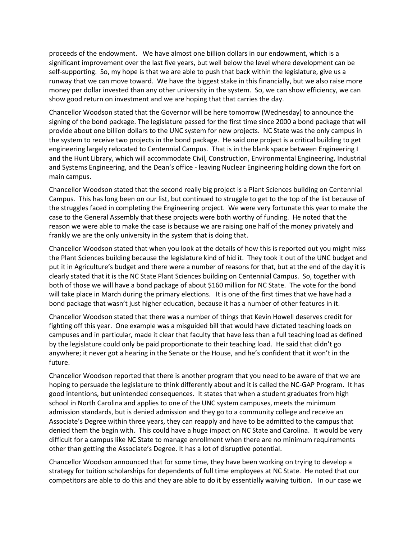proceeds of the endowment. We have almost one billion dollars in our endowment, which is a significant improvement over the last five years, but well below the level where development can be self-supporting. So, my hope is that we are able to push that back within the legislature, give us a runway that we can move toward. We have the biggest stake in this financially, but we also raise more money per dollar invested than any other university in the system. So, we can show efficiency, we can show good return on investment and we are hoping that that carries the day.

Chancellor Woodson stated that the Governor will be here tomorrow (Wednesday) to announce the signing of the bond package. The legislature passed for the first time since 2000 a bond package that will provide about one billion dollars to the UNC system for new projects. NC State was the only campus in the system to receive two projects in the bond package. He said one project is a critical building to get engineering largely relocated to Centennial Campus. That is in the blank space between Engineering I and the Hunt Library, which will accommodate Civil, Construction, Environmental Engineering, Industrial and Systems Engineering, and the Dean's office - leaving Nuclear Engineering holding down the fort on main campus.

Chancellor Woodson stated that the second really big project is a Plant Sciences building on Centennial Campus. This has long been on our list, but continued to struggle to get to the top of the list because of the struggles faced in completing the Engineering project. We were very fortunate this year to make the case to the General Assembly that these projects were both worthy of funding. He noted that the reason we were able to make the case is because we are raising one half of the money privately and frankly we are the only university in the system that is doing that.

Chancellor Woodson stated that when you look at the details of how this is reported out you might miss the Plant Sciences building because the legislature kind of hid it. They took it out of the UNC budget and put it in Agriculture's budget and there were a number of reasons for that, but at the end of the day it is clearly stated that it is the NC State Plant Sciences building on Centennial Campus. So, together with both of those we will have a bond package of about \$160 million for NC State. The vote for the bond will take place in March during the primary elections. It is one of the first times that we have had a bond package that wasn't just higher education, because it has a number of other features in it.

Chancellor Woodson stated that there was a number of things that Kevin Howell deserves credit for fighting off this year. One example was a misguided bill that would have dictated teaching loads on campuses and in particular, made it clear that faculty that have less than a full teaching load as defined by the legislature could only be paid proportionate to their teaching load. He said that didn't go anywhere; it never got a hearing in the Senate or the House, and he's confident that it won't in the future.

Chancellor Woodson reported that there is another program that you need to be aware of that we are hoping to persuade the legislature to think differently about and it is called the NC-GAP Program. It has good intentions, but unintended consequences. It states that when a student graduates from high school in North Carolina and applies to one of the UNC system campuses, meets the minimum admission standards, but is denied admission and they go to a community college and receive an Associate's Degree within three years, they can reapply and have to be admitted to the campus that denied them the begin with. This could have a huge impact on NC State and Carolina. It would be very difficult for a campus like NC State to manage enrollment when there are no minimum requirements other than getting the Associate's Degree. It has a lot of disruptive potential.

Chancellor Woodson announced that for some time, they have been working on trying to develop a strategy for tuition scholarships for dependents of full time employees at NC State. He noted that our competitors are able to do this and they are able to do it by essentially waiving tuition. In our case we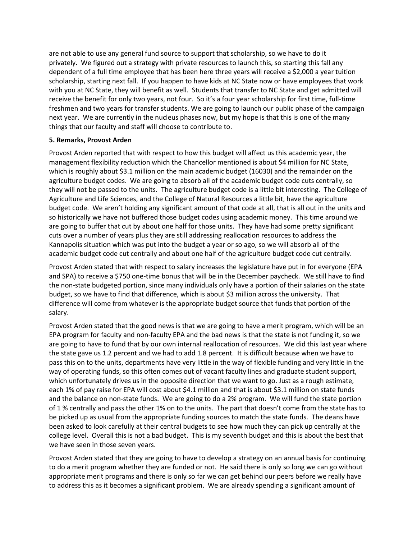are not able to use any general fund source to support that scholarship, so we have to do it privately. We figured out a strategy with private resources to launch this, so starting this fall any dependent of a full time employee that has been here three years will receive a \$2,000 a year tuition scholarship, starting next fall. If you happen to have kids at NC State now or have employees that work with you at NC State, they will benefit as well. Students that transfer to NC State and get admitted will receive the benefit for only two years, not four. So it's a four year scholarship for first time, full-time freshmen and two years for transfer students. We are going to launch our public phase of the campaign next year. We are currently in the nucleus phases now, but my hope is that this is one of the many things that our faculty and staff will choose to contribute to.

### **5. Remarks, Provost Arden**

Provost Arden reported that with respect to how this budget will affect us this academic year, the management flexibility reduction which the Chancellor mentioned is about \$4 million for NC State, which is roughly about \$3.1 million on the main academic budget (16030) and the remainder on the agriculture budget codes. We are going to absorb all of the academic budget code cuts centrally, so they will not be passed to the units. The agriculture budget code is a little bit interesting. The College of Agriculture and Life Sciences, and the College of Natural Resources a little bit, have the agriculture budget code. We aren't holding any significant amount of that code at all, that is all out in the units and so historically we have not buffered those budget codes using academic money. This time around we are going to buffer that cut by about one half for those units. They have had some pretty significant cuts over a number of years plus they are still addressing reallocation resources to address the Kannapolis situation which was put into the budget a year or so ago, so we will absorb all of the academic budget code cut centrally and about one half of the agriculture budget code cut centrally.

Provost Arden stated that with respect to salary increases the legislature have put in for everyone (EPA and SPA) to receive a \$750 one-time bonus that will be in the December paycheck. We still have to find the non-state budgeted portion, since many individuals only have a portion of their salaries on the state budget, so we have to find that difference, which is about \$3 million across the university. That difference will come from whatever is the appropriate budget source that funds that portion of the salary.

Provost Arden stated that the good news is that we are going to have a merit program, which will be an EPA program for faculty and non-faculty EPA and the bad news is that the state is not funding it, so we are going to have to fund that by our own internal reallocation of resources. We did this last year where the state gave us 1.2 percent and we had to add 1.8 percent. It is difficult because when we have to pass this on to the units, departments have very little in the way of flexible funding and very little in the way of operating funds, so this often comes out of vacant faculty lines and graduate student support, which unfortunately drives us in the opposite direction that we want to go. Just as a rough estimate, each 1% of pay raise for EPA will cost about \$4.1 million and that is about \$3.1 million on state funds and the balance on non-state funds. We are going to do a 2% program. We will fund the state portion of 1 % centrally and pass the other 1% on to the units. The part that doesn't come from the state has to be picked up as usual from the appropriate funding sources to match the state funds. The deans have been asked to look carefully at their central budgets to see how much they can pick up centrally at the college level. Overall this is not a bad budget. This is my seventh budget and this is about the best that we have seen in those seven years.

Provost Arden stated that they are going to have to develop a strategy on an annual basis for continuing to do a merit program whether they are funded or not. He said there is only so long we can go without appropriate merit programs and there is only so far we can get behind our peers before we really have to address this as it becomes a significant problem. We are already spending a significant amount of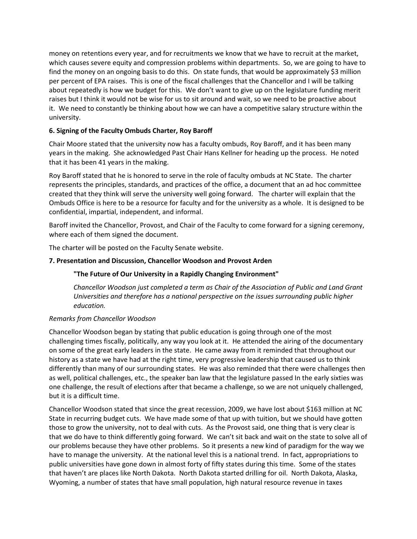money on retentions every year, and for recruitments we know that we have to recruit at the market, which causes severe equity and compression problems within departments. So, we are going to have to find the money on an ongoing basis to do this. On state funds, that would be approximately \$3 million per percent of EPA raises. This is one of the fiscal challenges that the Chancellor and I will be talking about repeatedly is how we budget for this. We don't want to give up on the legislature funding merit raises but I think it would not be wise for us to sit around and wait, so we need to be proactive about it. We need to constantly be thinking about how we can have a competitive salary structure within the university.

## **6. Signing of the Faculty Ombuds Charter, Roy Baroff**

Chair Moore stated that the university now has a faculty ombuds, Roy Baroff, and it has been many years in the making. She acknowledged Past Chair Hans Kellner for heading up the process. He noted that it has been 41 years in the making.

Roy Baroff stated that he is honored to serve in the role of faculty ombuds at NC State. The charter represents the principles, standards, and practices of the office, a document that an ad hoc committee created that they think will serve the university well going forward. The charter will explain that the Ombuds Office is here to be a resource for faculty and for the university as a whole. It is designed to be confidential, impartial, independent, and informal.

Baroff invited the Chancellor, Provost, and Chair of the Faculty to come forward for a signing ceremony, where each of them signed the document.

The charter will be posted on the Faculty Senate website.

## **7. Presentation and Discussion, Chancellor Woodson and Provost Arden**

### **"The Future of Our University in a Rapidly Changing Environment"**

*Chancellor Woodson just completed a term as Chair of the Association of Public and Land Grant Universities and therefore has a national perspective on the issues surrounding public higher education.*

## *Remarks from Chancellor Woodson*

Chancellor Woodson began by stating that public education is going through one of the most challenging times fiscally, politically, any way you look at it. He attended the airing of the documentary on some of the great early leaders in the state. He came away from it reminded that throughout our history as a state we have had at the right time, very progressive leadership that caused us to think differently than many of our surrounding states. He was also reminded that there were challenges then as well, political challenges, etc., the speaker ban law that the legislature passed In the early sixties was one challenge, the result of elections after that became a challenge, so we are not uniquely challenged, but it is a difficult time.

Chancellor Woodson stated that since the great recession, 2009, we have lost about \$163 million at NC State in recurring budget cuts. We have made some of that up with tuition, but we should have gotten those to grow the university, not to deal with cuts. As the Provost said, one thing that is very clear is that we do have to think differently going forward. We can't sit back and wait on the state to solve all of our problems because they have other problems. So it presents a new kind of paradigm for the way we have to manage the university. At the national level this is a national trend. In fact, appropriations to public universities have gone down in almost forty of fifty states during this time. Some of the states that haven't are places like North Dakota. North Dakota started drilling for oil. North Dakota, Alaska, Wyoming, a number of states that have small population, high natural resource revenue in taxes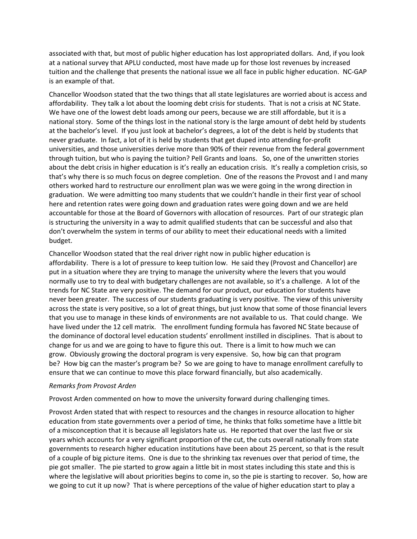associated with that, but most of public higher education has lost appropriated dollars. And, if you look at a national survey that APLU conducted, most have made up for those lost revenues by increased tuition and the challenge that presents the national issue we all face in public higher education. NC-GAP is an example of that.

Chancellor Woodson stated that the two things that all state legislatures are worried about is access and affordability. They talk a lot about the looming debt crisis for students. That is not a crisis at NC State. We have one of the lowest debt loads among our peers, because we are still affordable, but it is a national story. Some of the things lost in the national story is the large amount of debt held by students at the bachelor's level. If you just look at bachelor's degrees, a lot of the debt is held by students that never graduate. In fact, a lot of it is held by students that get duped into attending for-profit universities, and those universities derive more than 90% of their revenue from the federal government through tuition, but who is paying the tuition? Pell Grants and loans. So, one of the unwritten stories about the debt crisis in higher education is it's really an education crisis. It's really a completion crisis, so that's why there is so much focus on degree completion. One of the reasons the Provost and I and many others worked hard to restructure our enrollment plan was we were going in the wrong direction in graduation. We were admitting too many students that we couldn't handle in their first year of school here and retention rates were going down and graduation rates were going down and we are held accountable for those at the Board of Governors with allocation of resources. Part of our strategic plan is structuring the university in a way to admit qualified students that can be successful and also that don't overwhelm the system in terms of our ability to meet their educational needs with a limited budget.

Chancellor Woodson stated that the real driver right now in public higher education is affordability. There is a lot of pressure to keep tuition low. He said they (Provost and Chancellor) are put in a situation where they are trying to manage the university where the levers that you would normally use to try to deal with budgetary challenges are not available, so it's a challenge. A lot of the trends for NC State are very positive. The demand for our product, our education for students have never been greater. The success of our students graduating is very positive. The view of this university across the state is very positive, so a lot of great things, but just know that some of those financial levers that you use to manage in these kinds of environments are not available to us. That could change. We have lived under the 12 cell matrix. The enrollment funding formula has favored NC State because of the dominance of doctoral level education students' enrollment instilled in disciplines. That is about to change for us and we are going to have to figure this out. There is a limit to how much we can grow. Obviously growing the doctoral program is very expensive. So, how big can that program be? How big can the master's program be? So we are going to have to manage enrollment carefully to ensure that we can continue to move this place forward financially, but also academically.

### *Remarks from Provost Arden*

Provost Arden commented on how to move the university forward during challenging times.

Provost Arden stated that with respect to resources and the changes in resource allocation to higher education from state governments over a period of time, he thinks that folks sometime have a little bit of a misconception that it is because all legislators hate us. He reported that over the last five or six years which accounts for a very significant proportion of the cut, the cuts overall nationally from state governments to research higher education institutions have been about 25 percent, so that is the result of a couple of big picture items. One is due to the shrinking tax revenues over that period of time, the pie got smaller. The pie started to grow again a little bit in most states including this state and this is where the legislative will about priorities begins to come in, so the pie is starting to recover. So, how are we going to cut it up now? That is where perceptions of the value of higher education start to play a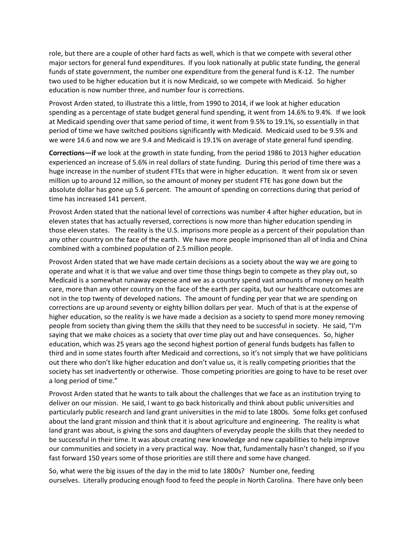role, but there are a couple of other hard facts as well, which is that we compete with several other major sectors for general fund expenditures. If you look nationally at public state funding, the general funds of state government, the number one expenditure from the general fund is K-12. The number two used to be higher education but it is now Medicaid, so we compete with Medicaid. So higher education is now number three, and number four is corrections.

Provost Arden stated, to illustrate this a little, from 1990 to 2014, if we look at higher education spending as a percentage of state budget general fund spending, it went from 14.6% to 9.4%. If we look at Medicaid spending over that same period of time, it went from 9.5% to 19.1%, so essentially in that period of time we have switched positions significantly with Medicaid. Medicaid used to be 9.5% and we were 14.6 and now we are 9.4 and Medicaid is 19.1% on average of state general fund spending.

**Corrections—if** we look at the growth in state funding, from the period 1986 to 2013 higher education experienced an increase of 5.6% in real dollars of state funding. During this period of time there was a huge increase in the number of student FTEs that were in higher education. It went from six or seven million up to around 12 million, so the amount of money per student FTE has gone down but the absolute dollar has gone up 5.6 percent. The amount of spending on corrections during that period of time has increased 141 percent.

Provost Arden stated that the national level of corrections was number 4 after higher education, but in eleven states that has actually reversed, corrections is now more than higher education spending in those eleven states. The reality is the U.S. imprisons more people as a percent of their population than any other country on the face of the earth. We have more people imprisoned than all of India and China combined with a combined population of 2.5 million people.

Provost Arden stated that we have made certain decisions as a society about the way we are going to operate and what it is that we value and over time those things begin to compete as they play out, so Medicaid is a somewhat runaway expense and we as a country spend vast amounts of money on health care, more than any other country on the face of the earth per capita, but our healthcare outcomes are not in the top twenty of developed nations. The amount of funding per year that we are spending on corrections are up around seventy or eighty billion dollars per year. Much of that is at the expense of higher education, so the reality is we have made a decision as a society to spend more money removing people from society than giving them the skills that they need to be successful in society. He said, "I'm saying that we make choices as a society that over time play out and have consequences. So, higher education, which was 25 years ago the second highest portion of general funds budgets has fallen to third and in some states fourth after Medicaid and corrections, so it's not simply that we have politicians out there who don't like higher education and don't value us, it is really competing priorities that the society has set inadvertently or otherwise. Those competing priorities are going to have to be reset over a long period of time."

Provost Arden stated that he wants to talk about the challenges that we face as an institution trying to deliver on our mission. He said, I want to go back historically and think about public universities and particularly public research and land grant universities in the mid to late 1800s. Some folks get confused about the land grant mission and think that it is about agriculture and engineering. The reality is what land grant was about, is giving the sons and daughters of everyday people the skills that they needed to be successful in their time. It was about creating new knowledge and new capabilities to help improve our communities and society in a very practical way. Now that, fundamentally hasn't changed, so if you fast forward 150 years some of those priorities are still there and some have changed.

So, what were the big issues of the day in the mid to late 1800s? Number one, feeding ourselves. Literally producing enough food to feed the people in North Carolina. There have only been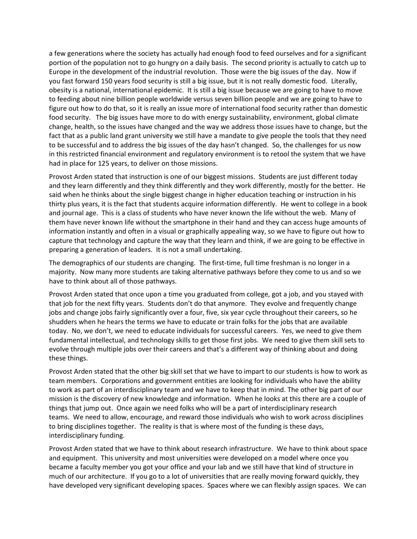a few generations where the society has actually had enough food to feed ourselves and for a significant portion of the population not to go hungry on a daily basis. The second priority is actually to catch up to Europe in the development of the industrial revolution. Those were the big issues of the day. Now if you fast forward 150 years food security is still a big issue, but it is not really domestic food. Literally, obesity is a national, international epidemic. It is still a big issue because we are going to have to move to feeding about nine billion people worldwide versus seven billion people and we are going to have to figure out how to do that, so it is really an issue more of international food security rather than domestic food security. The big issues have more to do with energy sustainability, environment, global climate change, health, so the issues have changed and the way we address those issues have to change, but the fact that as a public land grant university we still have a mandate to give people the tools that they need to be successful and to address the big issues of the day hasn't changed. So, the challenges for us now in this restricted financial environment and regulatory environment is to retool the system that we have had in place for 125 years, to deliver on those missions.

Provost Arden stated that instruction is one of our biggest missions. Students are just different today and they learn differently and they think differently and they work differently, mostly for the better. He said when he thinks about the single biggest change in higher education teaching or instruction in his thirty plus years, it is the fact that students acquire information differently. He went to college in a book and journal age. This is a class of students who have never known the life without the web. Many of them have never known life without the smartphone in their hand and they can access huge amounts of information instantly and often in a visual or graphically appealing way, so we have to figure out how to capture that technology and capture the way that they learn and think, if we are going to be effective in preparing a generation of leaders. It is not a small undertaking.

The demographics of our students are changing. The first-time, full time freshman is no longer in a majority. Now many more students are taking alternative pathways before they come to us and so we have to think about all of those pathways.

Provost Arden stated that once upon a time you graduated from college, got a job, and you stayed with that job for the next fifty years. Students don't do that anymore. They evolve and frequently change jobs and change jobs fairly significantly over a four, five, six year cycle throughout their careers, so he shudders when he hears the terms we have to educate or train folks for the jobs that are available today. No, we don't, we need to educate individuals for successful careers. Yes, we need to give them fundamental intellectual, and technology skills to get those first jobs. We need to give them skill sets to evolve through multiple jobs over their careers and that's a different way of thinking about and doing these things.

Provost Arden stated that the other big skill set that we have to impart to our students is how to work as team members. Corporations and government entities are looking for individuals who have the ability to work as part of an interdisciplinary team and we have to keep that in mind. The other big part of our mission is the discovery of new knowledge and information. When he looks at this there are a couple of things that jump out. Once again we need folks who will be a part of interdisciplinary research teams. We need to allow, encourage, and reward those individuals who wish to work across disciplines to bring disciplines together. The reality is that is where most of the funding is these days, interdisciplinary funding.

Provost Arden stated that we have to think about research infrastructure. We have to think about space and equipment. This university and most universities were developed on a model where once you became a faculty member you got your office and your lab and we still have that kind of structure in much of our architecture. If you go to a lot of universities that are really moving forward quickly, they have developed very significant developing spaces. Spaces where we can flexibly assign spaces. We can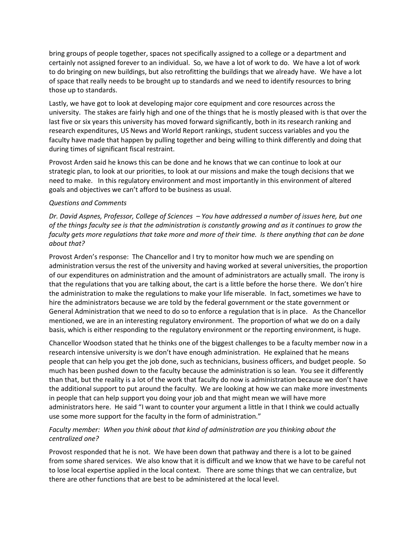bring groups of people together, spaces not specifically assigned to a college or a department and certainly not assigned forever to an individual. So, we have a lot of work to do. We have a lot of work to do bringing on new buildings, but also retrofitting the buildings that we already have. We have a lot of space that really needs to be brought up to standards and we need to identify resources to bring those up to standards.

Lastly, we have got to look at developing major core equipment and core resources across the university. The stakes are fairly high and one of the things that he is mostly pleased with is that over the last five or six years this university has moved forward significantly, both in its research ranking and research expenditures, US News and World Report rankings, student success variables and you the faculty have made that happen by pulling together and being willing to think differently and doing that during times of significant fiscal restraint.

Provost Arden said he knows this can be done and he knows that we can continue to look at our strategic plan, to look at our priorities, to look at our missions and make the tough decisions that we need to make. In this regulatory environment and most importantly in this environment of altered goals and objectives we can't afford to be business as usual.

#### *Questions and Comments*

*Dr. David Aspnes, Professor, College of Sciences – You have addressed a number of issues here, but one of the things faculty see is that the administration is constantly growing and as it continues to grow the faculty gets more regulations that take more and more of their time. Is there anything that can be done about that?* 

Provost Arden's response: The Chancellor and I try to monitor how much we are spending on administration versus the rest of the university and having worked at several universities, the proportion of our expenditures on administration and the amount of administrators are actually small. The irony is that the regulations that you are talking about, the cart is a little before the horse there. We don't hire the administration to make the regulations to make your life miserable. In fact, sometimes we have to hire the administrators because we are told by the federal government or the state government or General Administration that we need to do so to enforce a regulation that is in place. As the Chancellor mentioned, we are in an interesting regulatory environment. The proportion of what we do on a daily basis, which is either responding to the regulatory environment or the reporting environment, is huge.

Chancellor Woodson stated that he thinks one of the biggest challenges to be a faculty member now in a research intensive university is we don't have enough administration. He explained that he means people that can help you get the job done, such as technicians, business officers, and budget people. So much has been pushed down to the faculty because the administration is so lean. You see it differently than that, but the reality is a lot of the work that faculty do now is administration because we don't have the additional support to put around the faculty. We are looking at how we can make more investments in people that can help support you doing your job and that might mean we will have more administrators here. He said "I want to counter your argument a little in that I think we could actually use some more support for the faculty in the form of administration."

## *Faculty member: When you think about that kind of administration are you thinking about the centralized one?*

Provost responded that he is not. We have been down that pathway and there is a lot to be gained from some shared services. We also know that it is difficult and we know that we have to be careful not to lose local expertise applied in the local context. There are some things that we can centralize, but there are other functions that are best to be administered at the local level.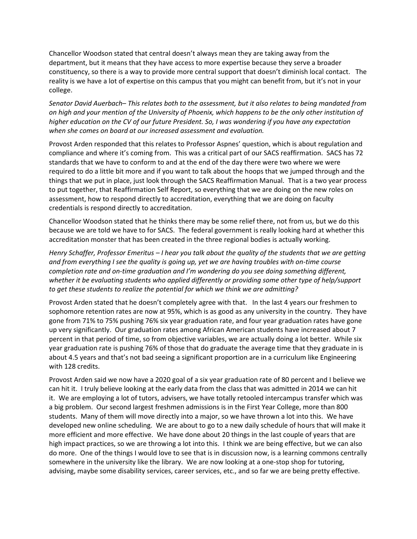Chancellor Woodson stated that central doesn't always mean they are taking away from the department, but it means that they have access to more expertise because they serve a broader constituency, so there is a way to provide more central support that doesn't diminish local contact. The reality is we have a lot of expertise on this campus that you might can benefit from, but it's not in your college.

*Senator David Auerbach– This relates both to the assessment, but it also relates to being mandated from on high and your mention of the University of Phoenix, which happens to be the only other institution of higher education on the CV of our future President. So, I was wondering if you have any expectation when she comes on board at our increased assessment and evaluation.* 

Provost Arden responded that this relates to Professor Aspnes' question, which is about regulation and compliance and where it's coming from. This was a critical part of our SACS reaffirmation. SACS has 72 standards that we have to conform to and at the end of the day there were two where we were required to do a little bit more and if you want to talk about the hoops that we jumped through and the things that we put in place, just look through the SACS Reaffirmation Manual. That is a two year process to put together, that Reaffirmation Self Report, so everything that we are doing on the new roles on assessment, how to respond directly to accreditation, everything that we are doing on faculty credentials is respond directly to accreditation.

Chancellor Woodson stated that he thinks there may be some relief there, not from us, but we do this because we are told we have to for SACS. The federal government is really looking hard at whether this accreditation monster that has been created in the three regional bodies is actually working.

*Henry Schaffer, Professor Emeritus – I hear you talk about the quality of the students that we are getting and from everything I see the quality is going up, yet we are having troubles with on-time course completion rate and on-time graduation and I'm wondering do you see doing something different, whether it be evaluating students who applied differently or providing some other type of help/support to get these students to realize the potential for which we think we are admitting?*

Provost Arden stated that he doesn't completely agree with that. In the last 4 years our freshmen to sophomore retention rates are now at 95%, which is as good as any university in the country. They have gone from 71% to 75% pushing 76% six year graduation rate, and four year graduation rates have gone up very significantly. Our graduation rates among African American students have increased about 7 percent in that period of time, so from objective variables, we are actually doing a lot better. While six year graduation rate is pushing 76% of those that do graduate the average time that they graduate in is about 4.5 years and that's not bad seeing a significant proportion are in a curriculum like Engineering with 128 credits.

Provost Arden said we now have a 2020 goal of a six year graduation rate of 80 percent and I believe we can hit it. I truly believe looking at the early data from the class that was admitted in 2014 we can hit it. We are employing a lot of tutors, advisers, we have totally retooled intercampus transfer which was a big problem. Our second largest freshmen admissions is in the First Year College, more than 800 students. Many of them will move directly into a major, so we have thrown a lot into this. We have developed new online scheduling. We are about to go to a new daily schedule of hours that will make it more efficient and more effective. We have done about 20 things in the last couple of years that are high impact practices, so we are throwing a lot into this. I think we are being effective, but we can also do more. One of the things I would love to see that is in discussion now, is a learning commons centrally somewhere in the university like the library. We are now looking at a one-stop shop for tutoring, advising, maybe some disability services, career services, etc., and so far we are being pretty effective.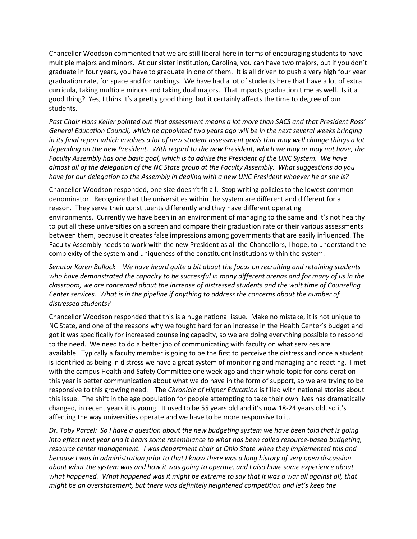Chancellor Woodson commented that we are still liberal here in terms of encouraging students to have multiple majors and minors. At our sister institution, Carolina, you can have two majors, but if you don't graduate in four years, you have to graduate in one of them. It is all driven to push a very high four year graduation rate, for space and for rankings. We have had a lot of students here that have a lot of extra curricula, taking multiple minors and taking dual majors. That impacts graduation time as well. Is it a good thing? Yes, I think it's a pretty good thing, but it certainly affects the time to degree of our students.

*Past Chair Hans Keller pointed out that assessment means a lot more than SACS and that President Ross' General Education Council, which he appointed two years ago will be in the next several weeks bringing in its final report which involves a lot of new student assessment goals that may well change things a lot depending on the new President. With regard to the new President, which we may or may not have, the Faculty Assembly has one basic goal, which is to advise the President of the UNC System. We have almost all of the delegation of the NC State group at the Faculty Assembly. What suggestions do you have for our delegation to the Assembly in dealing with a new UNC President whoever he or she is?*

Chancellor Woodson responded, one size doesn't fit all. Stop writing policies to the lowest common denominator. Recognize that the universities within the system are different and different for a reason. They serve their constituents differently and they have different operating environments. Currently we have been in an environment of managing to the same and it's not healthy to put all these universities on a screen and compare their graduation rate or their various assessments between them, because it creates false impressions among governments that are easily influenced. The Faculty Assembly needs to work with the new President as all the Chancellors, I hope, to understand the complexity of the system and uniqueness of the constituent institutions within the system.

*Senator Karen Bullock – We have heard quite a bit about the focus on recruiting and retaining students who have demonstrated the capacity to be successful in many different arenas and for many of us in the classroom, we are concerned about the increase of distressed students and the wait time of Counseling Center services. What is in the pipeline if anything to address the concerns about the number of distressed students?* 

Chancellor Woodson responded that this is a huge national issue. Make no mistake, it is not unique to NC State, and one of the reasons why we fought hard for an increase in the Health Center's budget and got it was specifically for increased counseling capacity, so we are doing everything possible to respond to the need. We need to do a better job of communicating with faculty on what services are available. Typically a faculty member is going to be the first to perceive the distress and once a student is identified as being in distress we have a great system of monitoring and managing and reacting. I met with the campus Health and Safety Committee one week ago and their whole topic for consideration this year is better communication about what we do have in the form of support, so we are trying to be responsive to this growing need. The *Chronicle of Higher Education* is filled with national stories about this issue. The shift in the age population for people attempting to take their own lives has dramatically changed, in recent years it is young. It used to be 55 years old and it's now 18-24 years old, so it's affecting the way universities operate and we have to be more responsive to it.

*Dr. Toby Parcel: So I have a question about the new budgeting system we have been told that is going into effect next year and it bears some resemblance to what has been called resource-based budgeting, resource center management. I was department chair at Ohio State when they implemented this and because I was in administration prior to that I know there was a long history of very open discussion about what the system was and how it was going to operate, and I also have some experience about what happened. What happened was it might be extreme to say that it was a war all against all, that might be an overstatement, but there was definitely heightened competition and let's keep the*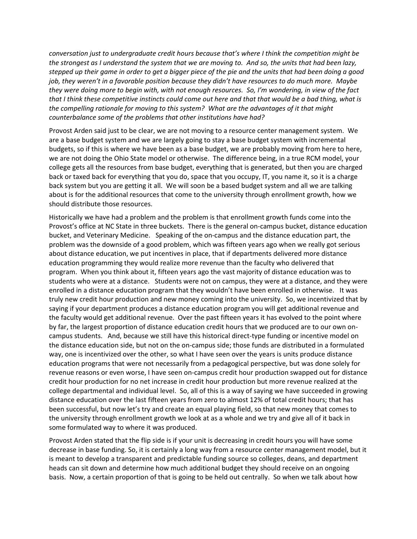*conversation just to undergraduate credit hours because that's where I think the competition might be the strongest as I understand the system that we are moving to. And so, the units that had been lazy, stepped up their game in order to get a bigger piece of the pie and the units that had been doing a good job, they weren't in a favorable position because they didn't have resources to do much more. Maybe they were doing more to begin with, with not enough resources. So, I'm wondering, in view of the fact that I think these competitive instincts could come out here and that that would be a bad thing, what is the compelling rationale for moving to this system? What are the advantages of it that might counterbalance some of the problems that other institutions have had?*

Provost Arden said just to be clear, we are not moving to a resource center management system. We are a base budget system and we are largely going to stay a base budget system with incremental budgets, so if this is where we have been as a base budget, we are probably moving from here to here, we are not doing the Ohio State model or otherwise. The difference being, in a true RCM model, your college gets all the resources from base budget, everything that is generated, but then you are charged back or taxed back for everything that you do, space that you occupy, IT, you name it, so it is a charge back system but you are getting it all. We will soon be a based budget system and all we are talking about is for the additional resources that come to the university through enrollment growth, how we should distribute those resources.

Historically we have had a problem and the problem is that enrollment growth funds come into the Provost's office at NC State in three buckets. There is the general on-campus bucket, distance education bucket, and Veterinary Medicine. Speaking of the on-campus and the distance education part, the problem was the downside of a good problem, which was fifteen years ago when we really got serious about distance education, we put incentives in place, that if departments delivered more distance education programming they would realize more revenue than the faculty who delivered that program. When you think about it, fifteen years ago the vast majority of distance education was to students who were at a distance. Students were not on campus, they were at a distance, and they were enrolled in a distance education program that they wouldn't have been enrolled in otherwise. It was truly new credit hour production and new money coming into the university. So, we incentivized that by saying if your department produces a distance education program you will get additional revenue and the faculty would get additional revenue. Over the past fifteen years it has evolved to the point where by far, the largest proportion of distance education credit hours that we produced are to our own oncampus students. And, because we still have this historical direct-type funding or incentive model on the distance education side, but not on the on-campus side; those funds are distributed in a formulated way, one is incentivized over the other, so what I have seen over the years is units produce distance education programs that were not necessarily from a pedagogical perspective, but was done solely for revenue reasons or even worse, I have seen on-campus credit hour production swapped out for distance credit hour production for no net increase in credit hour production but more revenue realized at the college departmental and individual level. So, all of this is a way of saying we have succeeded in growing distance education over the last fifteen years from zero to almost 12% of total credit hours; that has been successful, but now let's try and create an equal playing field, so that new money that comes to the university through enrollment growth we look at as a whole and we try and give all of it back in some formulated way to where it was produced.

Provost Arden stated that the flip side is if your unit is decreasing in credit hours you will have some decrease in base funding. So, it is certainly a long way from a resource center management model, but it is meant to develop a transparent and predictable funding source so colleges, deans, and department heads can sit down and determine how much additional budget they should receive on an ongoing basis. Now, a certain proportion of that is going to be held out centrally. So when we talk about how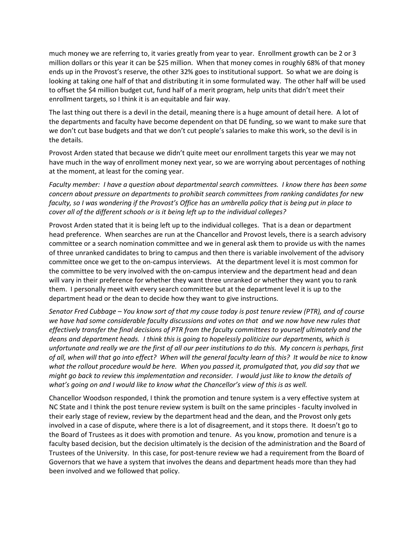much money we are referring to, it varies greatly from year to year. Enrollment growth can be 2 or 3 million dollars or this year it can be \$25 million. When that money comes in roughly 68% of that money ends up in the Provost's reserve, the other 32% goes to institutional support. So what we are doing is looking at taking one half of that and distributing it in some formulated way. The other half will be used to offset the \$4 million budget cut, fund half of a merit program, help units that didn't meet their enrollment targets, so I think it is an equitable and fair way.

The last thing out there is a devil in the detail, meaning there is a huge amount of detail here. A lot of the departments and faculty have become dependent on that DE funding, so we want to make sure that we don't cut base budgets and that we don't cut people's salaries to make this work, so the devil is in the details.

Provost Arden stated that because we didn't quite meet our enrollment targets this year we may not have much in the way of enrollment money next year, so we are worrying about percentages of nothing at the moment, at least for the coming year.

*Faculty member: I have a question about departmental search committees. I know there has been some concern about pressure on departments to prohibit search committees from ranking candidates for new faculty, so I was wondering if the Provost's Office has an umbrella policy that is being put in place to cover all of the different schools or is it being left up to the individual colleges?* 

Provost Arden stated that it is being left up to the individual colleges. That is a dean or department head preference. When searches are run at the Chancellor and Provost levels, there is a search advisory committee or a search nomination committee and we in general ask them to provide us with the names of three unranked candidates to bring to campus and then there is variable involvement of the advisory committee once we get to the on-campus interviews. At the department level it is most common for the committee to be very involved with the on-campus interview and the department head and dean will vary in their preference for whether they want three unranked or whether they want you to rank them. I personally meet with every search committee but at the department level it is up to the department head or the dean to decide how they want to give instructions.

*Senator Fred Cubbage – You know sort of that my cause today is post tenure review (PTR), and of course we have had some considerable faculty discussions and votes on that and we now have new rules that effectively transfer the final decisions of PTR from the faculty committees to yourself ultimately and the deans and department heads. I think this is going to hopelessly politicize our departments, which is unfortunate and really we are the first of all our peer institutions to do this. My concern is perhaps, first of all, when will that go into effect? When will the general faculty learn of this? It would be nice to know what the rollout procedure would be here. When you passed it, promulgated that, you did say that we might go back to review this implementation and reconsider. I would just like to know the details of what's going on and I would like to know what the Chancellor's view of this is as well.* 

Chancellor Woodson responded, I think the promotion and tenure system is a very effective system at NC State and I think the post tenure review system is built on the same principles - faculty involved in their early stage of review, review by the department head and the dean, and the Provost only gets involved in a case of dispute, where there is a lot of disagreement, and it stops there. It doesn't go to the Board of Trustees as it does with promotion and tenure. As you know, promotion and tenure is a faculty based decision, but the decision ultimately is the decision of the administration and the Board of Trustees of the University. In this case, for post-tenure review we had a requirement from the Board of Governors that we have a system that involves the deans and department heads more than they had been involved and we followed that policy.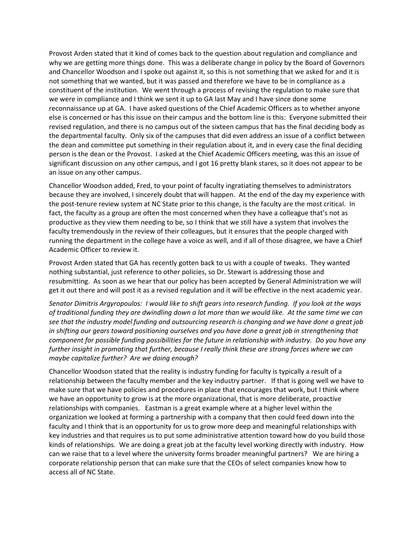Provost Arden stated that it kind of comes back to the question about regulation and compliance and why we are getting more things done. This was a deliberate change in policy by the Board of Governors and Chancellor Woodson and I spoke out against it, so this is not something that we asked for and it is not something that we wanted, but it was passed and therefore we have to be in compliance as a constituent of the institution. We went through a process of revising the regulation to make sure that we were in compliance and I think we sent it up to GA last May and I have since done some reconnaissance up at GA. I have asked questions of the Chief Academic Officers as to whether anyone else is concerned or has this issue on their campus and the bottom line is this: Everyone submitted their revised regulation, and there is no campus out of the sixteen campus that has the final deciding body as the departmental faculty. Only six of the campuses that did even address an issue of a conflict between the dean and committee put something in their regulation about it, and in every case the final deciding person is the dean or the Provost. I asked at the Chief Academic Officers meeting, was this an issue of significant discussion on any other campus, and I got 16 pretty blank stares, so it does not appear to be an issue on any other campus.

Chancellor Woodson added, Fred, to your point of faculty ingratiating themselves to administrators because they are involved, I sincerely doubt that will happen. At the end of the day my experience with the post-tenure review system at NC State prior to this change, is the faculty are the most critical. In fact, the faculty as a group are often the most concerned when they have a colleague that's not as productive as they view them needing to be, so I think that we still have a system that involves the faculty tremendously in the review of their colleagues, but it ensures that the people charged with running the department in the college have a voice as well, and if all of those disagree, we have a Chief Academic Officer to review it.

Provost Arden stated that GA has recently gotten back to us with a couple of tweaks. They wanted nothing substantial, just reference to other policies, so Dr. Stewart is addressing those and resubmitting. As soon as we hear that our policy has been accepted by General Administration we will get it out there and will post it as a revised regulation and it will be effective in the next academic year.

*Senator Dimitris Argyropoulos: I would like to shift gears into research funding. If you look at the ways of traditional funding they are dwindling down a lot more than we would like. At the same time we can see that the industry model funding and outsourcing research is changing and we have done a great job in shifting our gears toward positioning ourselves and you have done a great job in strengthening that component for possible funding possibilities for the future in relationship with industry. Do you have any further insight in promoting that further, because I really think these are strong forces where we can maybe capitalize further? Are we doing enough?* 

Chancellor Woodson stated that the reality is industry funding for faculty is typically a result of a relationship between the faculty member and the key industry partner. If that is going well we have to make sure that we have policies and procedures in place that encourages that work, but I think where we have an opportunity to grow is at the more organizational, that is more deliberate, proactive relationships with companies. Eastman is a great example where at a higher level within the organization we looked at forming a partnership with a company that then could feed down into the faculty and I think that is an opportunity for us to grow more deep and meaningful relationships with key industries and that requires us to put some administrative attention toward how do you build those kinds of relationships. We are doing a great job at the faculty level working directly with industry. How can we raise that to a level where the university forms broader meaningful partners? We are hiring a corporate relationship person that can make sure that the CEOs of select companies know how to access all of NC State.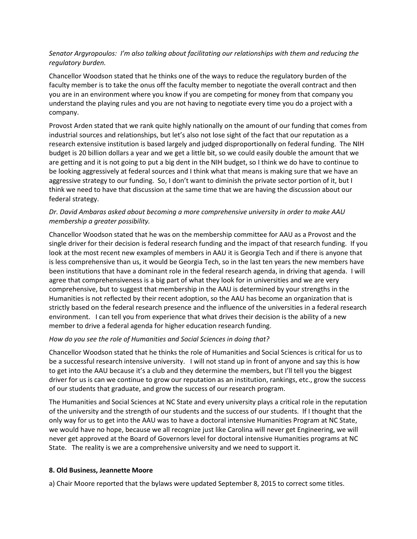## *Senator Argyropoulos: I'm also talking about facilitating our relationships with them and reducing the regulatory burden.*

Chancellor Woodson stated that he thinks one of the ways to reduce the regulatory burden of the faculty member is to take the onus off the faculty member to negotiate the overall contract and then you are in an environment where you know if you are competing for money from that company you understand the playing rules and you are not having to negotiate every time you do a project with a company.

Provost Arden stated that we rank quite highly nationally on the amount of our funding that comes from industrial sources and relationships, but let's also not lose sight of the fact that our reputation as a research extensive institution is based largely and judged disproportionally on federal funding. The NIH budget is 20 billion dollars a year and we get a little bit, so we could easily double the amount that we are getting and it is not going to put a big dent in the NIH budget, so I think we do have to continue to be looking aggressively at federal sources and I think what that means is making sure that we have an aggressive strategy to our funding. So, I don't want to diminish the private sector portion of it, but I think we need to have that discussion at the same time that we are having the discussion about our federal strategy.

## *Dr. David Ambaras asked about becoming a more comprehensive university in order to make AAU membership a greater possibility.*

Chancellor Woodson stated that he was on the membership committee for AAU as a Provost and the single driver for their decision is federal research funding and the impact of that research funding. If you look at the most recent new examples of members in AAU it is Georgia Tech and if there is anyone that is less comprehensive than us, it would be Georgia Tech, so in the last ten years the new members have been institutions that have a dominant role in the federal research agenda, in driving that agenda. I will agree that comprehensiveness is a big part of what they look for in universities and we are very comprehensive, but to suggest that membership in the AAU is determined by your strengths in the Humanities is not reflected by their recent adoption, so the AAU has become an organization that is strictly based on the federal research presence and the influence of the universities in a federal research environment. I can tell you from experience that what drives their decision is the ability of a new member to drive a federal agenda for higher education research funding.

## *How do you see the role of Humanities and Social Sciences in doing that?*

Chancellor Woodson stated that he thinks the role of Humanities and Social Sciences is critical for us to be a successful research intensive university. I will not stand up in front of anyone and say this is how to get into the AAU because it's a club and they determine the members, but I'll tell you the biggest driver for us is can we continue to grow our reputation as an institution, rankings, etc., grow the success of our students that graduate, and grow the success of our research program.

The Humanities and Social Sciences at NC State and every university plays a critical role in the reputation of the university and the strength of our students and the success of our students. If I thought that the only way for us to get into the AAU was to have a doctoral intensive Humanities Program at NC State, we would have no hope, because we all recognize just like Carolina will never get Engineering, we will never get approved at the Board of Governors level for doctoral intensive Humanities programs at NC State. The reality is we are a comprehensive university and we need to support it.

### **8. Old Business, Jeannette Moore**

a) Chair Moore reported that the bylaws were updated September 8, 2015 to correct some titles.